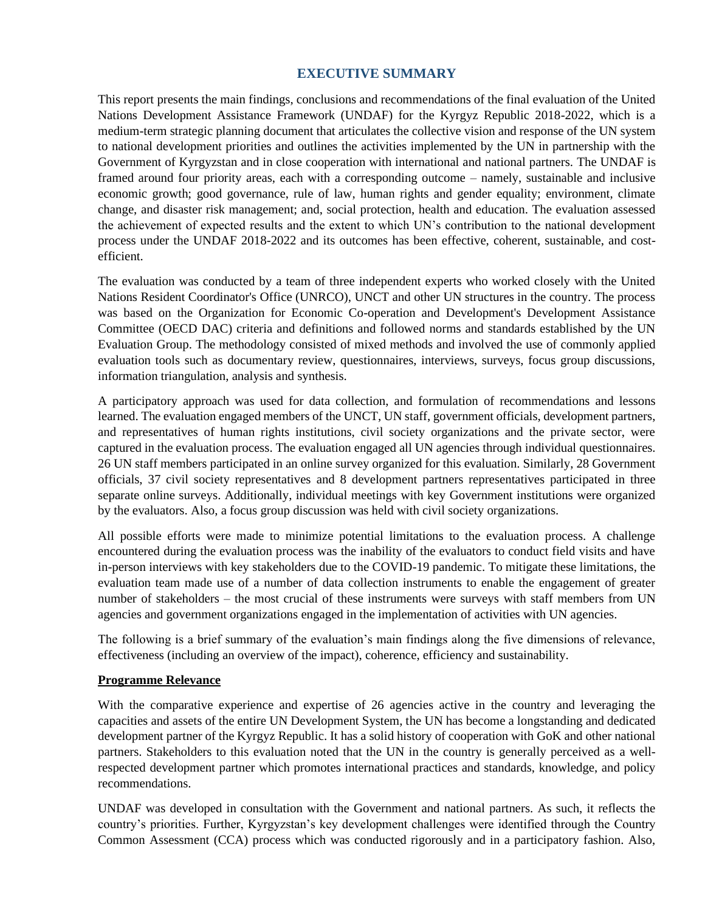### **EXECUTIVE SUMMARY**

This report presents the main findings, conclusions and recommendations of the final evaluation of the United Nations Development Assistance Framework (UNDAF) for the Kyrgyz Republic 2018-2022, which is a medium-term strategic planning document that articulates the collective vision and response of the UN system to national development priorities and outlines the activities implemented by the UN in partnership with the Government of Kyrgyzstan and in close cooperation with international and national partners. The UNDAF is framed around four priority areas, each with a corresponding outcome – namely, sustainable and inclusive economic growth; good governance, rule of law, human rights and gender equality; environment, climate change, and disaster risk management; and, social protection, health and education. The evaluation assessed the achievement of expected results and the extent to which UN's contribution to the national development process under the UNDAF 2018-2022 and its outcomes has been effective, coherent, sustainable, and costefficient.

The evaluation was conducted by a team of three independent experts who worked closely with the United Nations Resident Coordinator's Office (UNRCO), UNCT and other UN structures in the country. The process was based on the Organization for Economic Co-operation and Development's Development Assistance Committee (OECD DAC) criteria and definitions and followed norms and standards established by the UN Evaluation Group. The methodology consisted of mixed methods and involved the use of commonly applied evaluation tools such as documentary review, questionnaires, interviews, surveys, focus group discussions, information triangulation, analysis and synthesis.

A participatory approach was used for data collection, and formulation of recommendations and lessons learned. The evaluation engaged members of the UNCT, UN staff, government officials, development partners, and representatives of human rights institutions, civil society organizations and the private sector, were captured in the evaluation process. The evaluation engaged all UN agencies through individual questionnaires. 26 UN staff members participated in an online survey organized for this evaluation. Similarly, 28 Government officials, 37 civil society representatives and 8 development partners representatives participated in three separate online surveys. Additionally, individual meetings with key Government institutions were organized by the evaluators. Also, a focus group discussion was held with civil society organizations.

All possible efforts were made to minimize potential limitations to the evaluation process. A challenge encountered during the evaluation process was the inability of the evaluators to conduct field visits and have in-person interviews with key stakeholders due to the COVID-19 pandemic. To mitigate these limitations, the evaluation team made use of a number of data collection instruments to enable the engagement of greater number of stakeholders – the most crucial of these instruments were surveys with staff members from UN agencies and government organizations engaged in the implementation of activities with UN agencies.

The following is a brief summary of the evaluation's main findings along the five dimensions of relevance, effectiveness (including an overview of the impact), coherence, efficiency and sustainability.

#### **Programme Relevance**

With the comparative experience and expertise of 26 agencies active in the country and leveraging the capacities and assets of the entire UN Development System, the UN has become a longstanding and dedicated development partner of the Kyrgyz Republic. It has a solid history of cooperation with GoK and other national partners. Stakeholders to this evaluation noted that the UN in the country is generally perceived as a wellrespected development partner which promotes international practices and standards, knowledge, and policy recommendations.

UNDAF was developed in consultation with the Government and national partners. As such, it reflects the country's priorities. Further, Kyrgyzstan's key development challenges were identified through the Country Common Assessment (CCA) process which was conducted rigorously and in a participatory fashion. Also,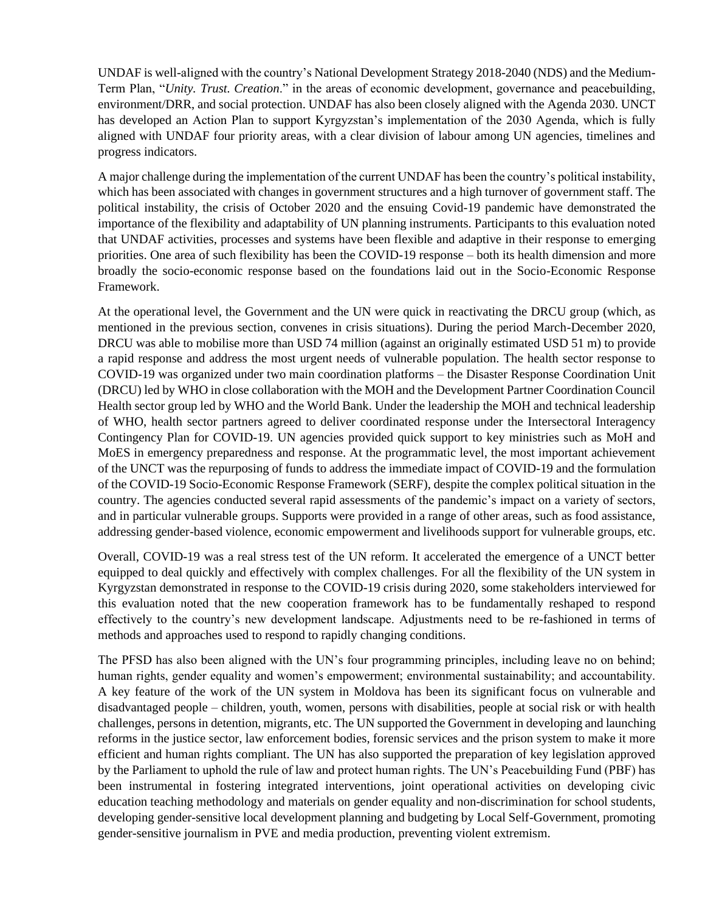UNDAF is well-aligned with the country's National Development Strategy 2018-2040 (NDS) and the Medium-Term Plan, "*Unity. Trust. Creation*." in the areas of economic development, governance and peacebuilding, environment/DRR, and social protection. UNDAF has also been closely aligned with the Agenda 2030. UNCT has developed an Action Plan to support Kyrgyzstan's implementation of the 2030 Agenda, which is fully aligned with UNDAF four priority areas, with a clear division of labour among UN agencies, timelines and progress indicators.

A major challenge during the implementation of the current UNDAF has been the country's political instability, which has been associated with changes in government structures and a high turnover of government staff. The political instability, the crisis of October 2020 and the ensuing Covid-19 pandemic have demonstrated the importance of the flexibility and adaptability of UN planning instruments. Participants to this evaluation noted that UNDAF activities, processes and systems have been flexible and adaptive in their response to emerging priorities. One area of such flexibility has been the COVID-19 response – both its health dimension and more broadly the socio-economic response based on the foundations laid out in the Socio-Economic Response Framework.

At the operational level, the Government and the UN were quick in reactivating the DRCU group (which, as mentioned in the previous section, convenes in crisis situations). During the period March-December 2020, DRCU was able to mobilise more than USD 74 million (against an originally estimated USD 51 m) to provide a rapid response and address the most urgent needs of vulnerable population. The health sector response to COVID-19 was organized under two main coordination platforms – the Disaster Response Coordination Unit (DRCU) led by WHO in close collaboration with the MOH and the Development Partner Coordination Council Health sector group led by WHO and the World Bank. Under the leadership the MOH and technical leadership of WHO, health sector partners agreed to deliver coordinated response under the Intersectoral Interagency Contingency Plan for COVID-19. UN agencies provided quick support to key ministries such as MoH and MoES in emergency preparedness and response. At the programmatic level, the most important achievement of the UNCT was the repurposing of funds to address the immediate impact of COVID-19 and the formulation of the COVID-19 Socio-Economic Response Framework (SERF), despite the complex political situation in the country. The agencies conducted several rapid assessments of the pandemic's impact on a variety of sectors, and in particular vulnerable groups. Supports were provided in a range of other areas, such as food assistance, addressing gender-based violence, economic empowerment and livelihoods support for vulnerable groups, etc.

Overall, COVID-19 was a real stress test of the UN reform. It accelerated the emergence of a UNCT better equipped to deal quickly and effectively with complex challenges. For all the flexibility of the UN system in Kyrgyzstan demonstrated in response to the COVID-19 crisis during 2020, some stakeholders interviewed for this evaluation noted that the new cooperation framework has to be fundamentally reshaped to respond effectively to the country's new development landscape. Adjustments need to be re-fashioned in terms of methods and approaches used to respond to rapidly changing conditions.

The PFSD has also been aligned with the UN's four programming principles, including leave no on behind; human rights, gender equality and women's empowerment; environmental sustainability; and accountability. A key feature of the work of the UN system in Moldova has been its significant focus on vulnerable and disadvantaged people – children, youth, women, persons with disabilities, people at social risk or with health challenges, persons in detention, migrants, etc. The UN supported the Government in developing and launching reforms in the justice sector, law enforcement bodies, forensic services and the prison system to make it more efficient and human rights compliant. The UN has also supported the preparation of key legislation approved by the Parliament to uphold the rule of law and protect human rights. The UN's Peacebuilding Fund (PBF) has been instrumental in fostering integrated interventions, joint operational activities on developing civic education teaching methodology and materials on gender equality and non-discrimination for school students, developing gender-sensitive local development planning and budgeting by Local Self-Government, promoting gender-sensitive journalism in PVE and media production, preventing violent extremism.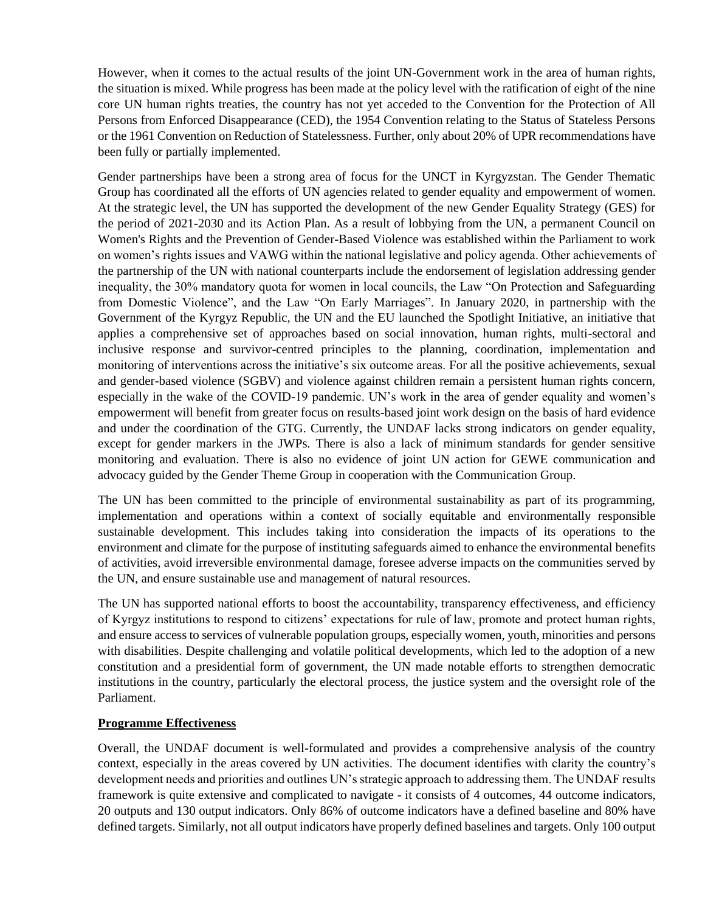However, when it comes to the actual results of the joint UN-Government work in the area of human rights, the situation is mixed. While progress has been made at the policy level with the ratification of eight of the nine core UN human rights treaties, the country has not yet acceded to the Convention for the Protection of All Persons from Enforced Disappearance (CED), the 1954 Convention relating to the Status of Stateless Persons or the 1961 Convention on Reduction of Statelessness. Further, only about 20% of UPR recommendations have been fully or partially implemented.

Gender partnerships have been a strong area of focus for the UNCT in Kyrgyzstan. The Gender Thematic Group has coordinated all the efforts of UN agencies related to gender equality and empowerment of women. At the strategic level, the UN has supported the development of the new Gender Equality Strategy (GES) for the period of 2021-2030 and its Action Plan. As a result of lobbying from the UN, a permanent Council on Women's Rights and the Prevention of Gender-Based Violence was established within the Parliament to work on women's rights issues and VAWG within the national legislative and policy agenda. Other achievements of the partnership of the UN with national counterparts include the endorsement of legislation addressing gender inequality, the 30% mandatory quota for women in local councils, the Law "On Protection and Safeguarding from Domestic Violence", and the Law "On Early Marriages". In January 2020, in partnership with the Government of the Kyrgyz Republic, the UN and the EU launched the Spotlight Initiative, an initiative that applies a comprehensive set of approaches based on social innovation, human rights, multi-sectoral and inclusive response and survivor-centred principles to the planning, coordination, implementation and monitoring of interventions across the initiative's six outcome areas. For all the positive achievements, sexual and gender-based violence (SGBV) and violence against children remain a persistent human rights concern, especially in the wake of the COVID-19 pandemic. UN's work in the area of gender equality and women's empowerment will benefit from greater focus on results-based joint work design on the basis of hard evidence and under the coordination of the GTG. Currently, the UNDAF lacks strong indicators on gender equality, except for gender markers in the JWPs. There is also a lack of minimum standards for gender sensitive monitoring and evaluation. There is also no evidence of joint UN action for GEWE communication and advocacy guided by the Gender Theme Group in cooperation with the Communication Group.

The UN has been committed to the principle of environmental sustainability as part of its programming, implementation and operations within a context of socially equitable and environmentally responsible sustainable development. This includes taking into consideration the impacts of its operations to the environment and climate for the purpose of instituting safeguards aimed to enhance the environmental benefits of activities, avoid irreversible environmental damage, foresee adverse impacts on the communities served by the UN, and ensure sustainable use and management of natural resources.

The UN has supported national efforts to boost the accountability, transparency effectiveness, and efficiency of Kyrgyz institutions to respond to citizens' expectations for rule of law, promote and protect human rights, and ensure access to services of vulnerable population groups, especially women, youth, minorities and persons with disabilities. Despite challenging and volatile political developments, which led to the adoption of a new constitution and a presidential form of government, the UN made notable efforts to strengthen democratic institutions in the country, particularly the electoral process, the justice system and the oversight role of the Parliament.

#### **Programme Effectiveness**

Overall, the UNDAF document is well-formulated and provides a comprehensive analysis of the country context, especially in the areas covered by UN activities. The document identifies with clarity the country's development needs and priorities and outlines UN's strategic approach to addressing them. The UNDAF results framework is quite extensive and complicated to navigate - it consists of 4 outcomes, 44 outcome indicators, 20 outputs and 130 output indicators. Only 86% of outcome indicators have a defined baseline and 80% have defined targets. Similarly, not all output indicators have properly defined baselines and targets. Only 100 output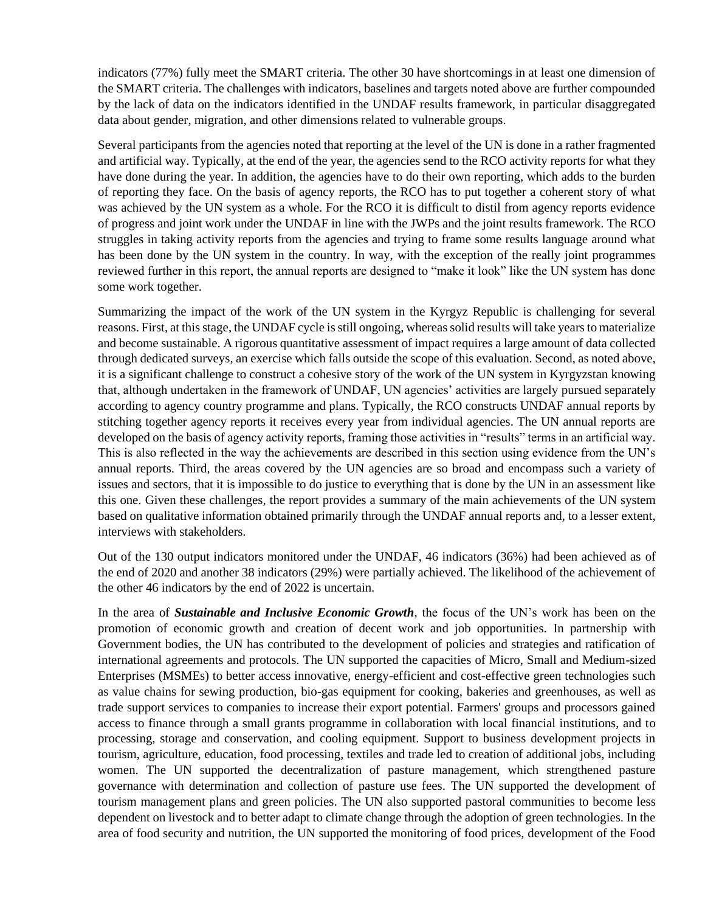indicators (77%) fully meet the SMART criteria. The other 30 have shortcomings in at least one dimension of the SMART criteria. The challenges with indicators, baselines and targets noted above are further compounded by the lack of data on the indicators identified in the UNDAF results framework, in particular disaggregated data about gender, migration, and other dimensions related to vulnerable groups.

Several participants from the agencies noted that reporting at the level of the UN is done in a rather fragmented and artificial way. Typically, at the end of the year, the agencies send to the RCO activity reports for what they have done during the year. In addition, the agencies have to do their own reporting, which adds to the burden of reporting they face. On the basis of agency reports, the RCO has to put together a coherent story of what was achieved by the UN system as a whole. For the RCO it is difficult to distil from agency reports evidence of progress and joint work under the UNDAF in line with the JWPs and the joint results framework. The RCO struggles in taking activity reports from the agencies and trying to frame some results language around what has been done by the UN system in the country. In way, with the exception of the really joint programmes reviewed further in this report, the annual reports are designed to "make it look" like the UN system has done some work together.

Summarizing the impact of the work of the UN system in the Kyrgyz Republic is challenging for several reasons. First, at this stage, the UNDAF cycle is still ongoing, whereas solid results will take years to materialize and become sustainable. A rigorous quantitative assessment of impact requires a large amount of data collected through dedicated surveys, an exercise which falls outside the scope of this evaluation. Second, as noted above, it is a significant challenge to construct a cohesive story of the work of the UN system in Kyrgyzstan knowing that, although undertaken in the framework of UNDAF, UN agencies' activities are largely pursued separately according to agency country programme and plans. Typically, the RCO constructs UNDAF annual reports by stitching together agency reports it receives every year from individual agencies. The UN annual reports are developed on the basis of agency activity reports, framing those activities in "results" terms in an artificial way. This is also reflected in the way the achievements are described in this section using evidence from the UN's annual reports. Third, the areas covered by the UN agencies are so broad and encompass such a variety of issues and sectors, that it is impossible to do justice to everything that is done by the UN in an assessment like this one. Given these challenges, the report provides a summary of the main achievements of the UN system based on qualitative information obtained primarily through the UNDAF annual reports and, to a lesser extent, interviews with stakeholders.

Out of the 130 output indicators monitored under the UNDAF, 46 indicators (36%) had been achieved as of the end of 2020 and another 38 indicators (29%) were partially achieved. The likelihood of the achievement of the other 46 indicators by the end of 2022 is uncertain.

In the area of *Sustainable and Inclusive Economic Growth*, the focus of the UN's work has been on the promotion of economic growth and creation of decent work and job opportunities. In partnership with Government bodies, the UN has contributed to the development of policies and strategies and ratification of international agreements and protocols. The UN supported the capacities of Micro, Small and Medium-sized Enterprises (MSMEs) to better access innovative, energy-efficient and cost-effective green technologies such as value chains for sewing production, bio-gas equipment for cooking, bakeries and greenhouses, as well as trade support services to companies to increase their export potential. Farmers' groups and processors gained access to finance through a small grants programme in collaboration with local financial institutions, and to processing, storage and conservation, and cooling equipment. Support to business development projects in tourism, agriculture, education, food processing, textiles and trade led to creation of additional jobs, including women. The UN supported the decentralization of pasture management, which strengthened pasture governance with determination and collection of pasture use fees. The UN supported the development of tourism management plans and green policies. The UN also supported pastoral communities to become less dependent on livestock and to better adapt to climate change through the adoption of green technologies. In the area of food security and nutrition, the UN supported the monitoring of food prices, development of the Food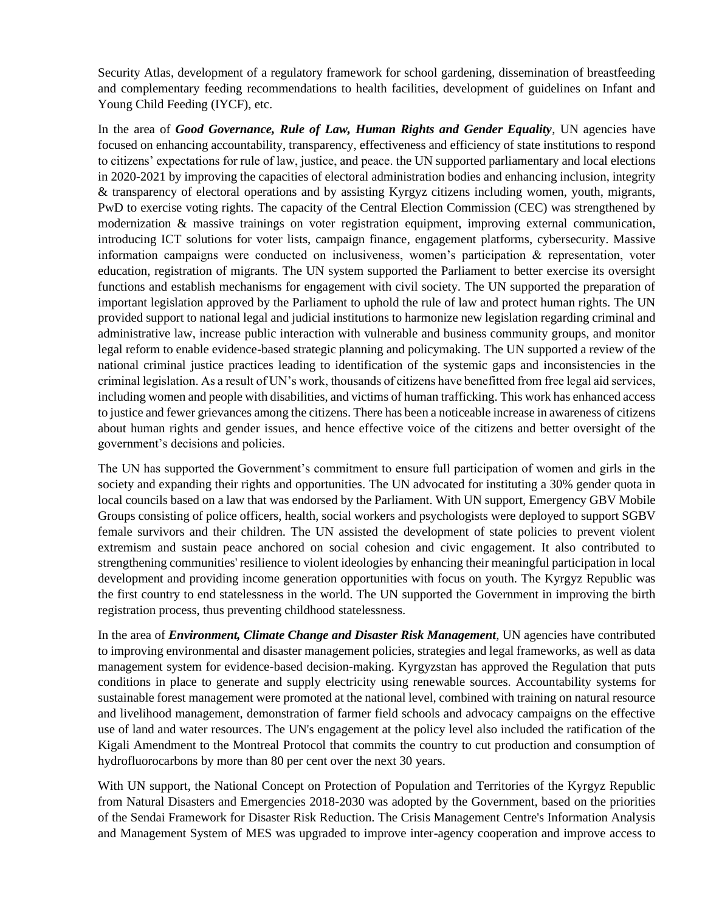Security Atlas, development of a regulatory framework for school gardening, dissemination of breastfeeding and complementary feeding recommendations to health facilities, development of guidelines on Infant and Young Child Feeding (IYCF), etc.

In the area of *Good Governance, Rule of Law, Human Rights and Gender Equality*, UN agencies have focused on enhancing accountability, transparency, effectiveness and efficiency of state institutions to respond to citizens' expectations for rule of law, justice, and peace. the UN supported parliamentary and local elections in 2020-2021 by improving the capacities of electoral administration bodies and enhancing inclusion, integrity & transparency of electoral operations and by assisting Kyrgyz citizens including women, youth, migrants, PwD to exercise voting rights. The capacity of the Central Election Commission (CEC) was strengthened by modernization & massive trainings on voter registration equipment, improving external communication, introducing ICT solutions for voter lists, campaign finance, engagement platforms, cybersecurity. Massive information campaigns were conducted on inclusiveness, women's participation & representation, voter education, registration of migrants. The UN system supported the Parliament to better exercise its oversight functions and establish mechanisms for engagement with civil society. The UN supported the preparation of important legislation approved by the Parliament to uphold the rule of law and protect human rights. The UN provided support to national legal and judicial institutions to harmonize new legislation regarding criminal and administrative law, increase public interaction with vulnerable and business community groups, and monitor legal reform to enable evidence-based strategic planning and policymaking. The UN supported a review of the national criminal justice practices leading to identification of the systemic gaps and inconsistencies in the criminal legislation. As a result of UN's work, thousands of citizens have benefitted from free legal aid services, including women and people with disabilities, and victims of human trafficking. This work has enhanced access to justice and fewer grievances among the citizens. There has been a noticeable increase in awareness of citizens about human rights and gender issues, and hence effective voice of the citizens and better oversight of the government's decisions and policies.

The UN has supported the Government's commitment to ensure full participation of women and girls in the society and expanding their rights and opportunities. The UN advocated for instituting a 30% gender quota in local councils based on a law that was endorsed by the Parliament. With UN support, Emergency GBV Mobile Groups consisting of police officers, health, social workers and psychologists were deployed to support SGBV female survivors and their children. The UN assisted the development of state policies to prevent violent extremism and sustain peace anchored on social cohesion and civic engagement. It also contributed to strengthening communities' resilience to violent ideologies by enhancing their meaningful participation in local development and providing income generation opportunities with focus on youth. The Kyrgyz Republic was the first country to end statelessness in the world. The UN supported the Government in improving the birth registration process, thus preventing childhood statelessness.

In the area of *Environment, Climate Change and Disaster Risk Management*, UN agencies have contributed to improving environmental and disaster management policies, strategies and legal frameworks, as well as data management system for evidence-based decision-making. Kyrgyzstan has approved the Regulation that puts conditions in place to generate and supply electricity using renewable sources. Accountability systems for sustainable forest management were promoted at the national level, combined with training on natural resource and livelihood management, demonstration of farmer field schools and advocacy campaigns on the effective use of land and water resources. The UN's engagement at the policy level also included the ratification of the Kigali Amendment to the Montreal Protocol that commits the country to cut production and consumption of hydrofluorocarbons by more than 80 per cent over the next 30 years.

With UN support, the National Concept on Protection of Population and Territories of the Kyrgyz Republic from Natural Disasters and Emergencies 2018-2030 was adopted by the Government, based on the priorities of the Sendai Framework for Disaster Risk Reduction. The Crisis Management Centre's Information Analysis and Management System of MES was upgraded to improve inter-agency cooperation and improve access to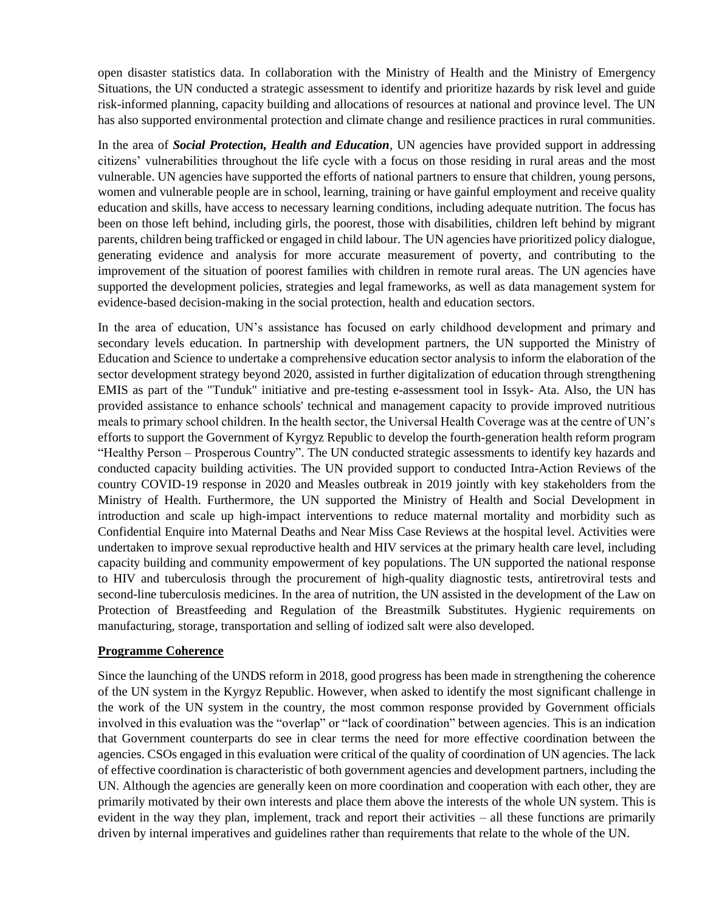open disaster statistics data. In collaboration with the Ministry of Health and the Ministry of Emergency Situations, the UN conducted a strategic assessment to identify and prioritize hazards by risk level and guide risk-informed planning, capacity building and allocations of resources at national and province level. The UN has also supported environmental protection and climate change and resilience practices in rural communities.

In the area of *Social Protection, Health and Education*, UN agencies have provided support in addressing citizens' vulnerabilities throughout the life cycle with a focus on those residing in rural areas and the most vulnerable. UN agencies have supported the efforts of national partners to ensure that children, young persons, women and vulnerable people are in school, learning, training or have gainful employment and receive quality education and skills, have access to necessary learning conditions, including adequate nutrition. The focus has been on those left behind, including girls, the poorest, those with disabilities, children left behind by migrant parents, children being trafficked or engaged in child labour. The UN agencies have prioritized policy dialogue, generating evidence and analysis for more accurate measurement of poverty, and contributing to the improvement of the situation of poorest families with children in remote rural areas. The UN agencies have supported the development policies, strategies and legal frameworks, as well as data management system for evidence-based decision-making in the social protection, health and education sectors.

In the area of education, UN's assistance has focused on early childhood development and primary and secondary levels education. In partnership with development partners, the UN supported the Ministry of Education and Science to undertake a comprehensive education sector analysis to inform the elaboration of the sector development strategy beyond 2020, assisted in further digitalization of education through strengthening EMIS as part of the "Tunduk" initiative and pre-testing e-assessment tool in Issyk- Ata. Also, the UN has provided assistance to enhance schools' technical and management capacity to provide improved nutritious meals to primary school children. In the health sector, the Universal Health Coverage was at the centre of UN's efforts to support the Government of Kyrgyz Republic to develop the fourth-generation health reform program "Healthy Person – Prosperous Country". The UN conducted strategic assessments to identify key hazards and conducted capacity building activities. The UN provided support to conducted Intra-Action Reviews of the country COVID-19 response in 2020 and Measles outbreak in 2019 jointly with key stakeholders from the Ministry of Health. Furthermore, the UN supported the Ministry of Health and Social Development in introduction and scale up high-impact interventions to reduce maternal mortality and morbidity such as Confidential Enquire into Maternal Deaths and Near Miss Case Reviews at the hospital level. Activities were undertaken to improve sexual reproductive health and HIV services at the primary health care level, including capacity building and community empowerment of key populations. The UN supported the national response to HIV and tuberculosis through the procurement of high-quality diagnostic tests, antiretroviral tests and second-line tuberculosis medicines. In the area of nutrition, the UN assisted in the development of the Law on Protection of Breastfeeding and Regulation of the Breastmilk Substitutes. Hygienic requirements on manufacturing, storage, transportation and selling of iodized salt were also developed.

#### **Programme Coherence**

Since the launching of the UNDS reform in 2018, good progress has been made in strengthening the coherence of the UN system in the Kyrgyz Republic. However, when asked to identify the most significant challenge in the work of the UN system in the country, the most common response provided by Government officials involved in this evaluation was the "overlap" or "lack of coordination" between agencies. This is an indication that Government counterparts do see in clear terms the need for more effective coordination between the agencies. CSOs engaged in this evaluation were critical of the quality of coordination of UN agencies. The lack of effective coordination is characteristic of both government agencies and development partners, including the UN. Although the agencies are generally keen on more coordination and cooperation with each other, they are primarily motivated by their own interests and place them above the interests of the whole UN system. This is evident in the way they plan, implement, track and report their activities – all these functions are primarily driven by internal imperatives and guidelines rather than requirements that relate to the whole of the UN.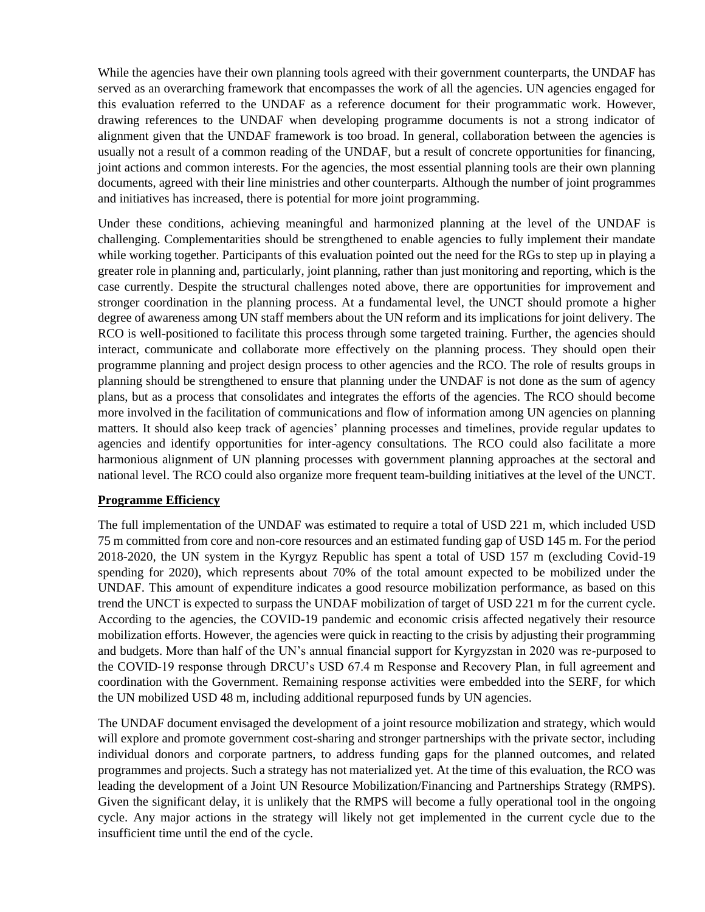While the agencies have their own planning tools agreed with their government counterparts, the UNDAF has served as an overarching framework that encompasses the work of all the agencies. UN agencies engaged for this evaluation referred to the UNDAF as a reference document for their programmatic work. However, drawing references to the UNDAF when developing programme documents is not a strong indicator of alignment given that the UNDAF framework is too broad. In general, collaboration between the agencies is usually not a result of a common reading of the UNDAF, but a result of concrete opportunities for financing, joint actions and common interests. For the agencies, the most essential planning tools are their own planning documents, agreed with their line ministries and other counterparts. Although the number of joint programmes and initiatives has increased, there is potential for more joint programming.

Under these conditions, achieving meaningful and harmonized planning at the level of the UNDAF is challenging. Complementarities should be strengthened to enable agencies to fully implement their mandate while working together. Participants of this evaluation pointed out the need for the RGs to step up in playing a greater role in planning and, particularly, joint planning, rather than just monitoring and reporting, which is the case currently. Despite the structural challenges noted above, there are opportunities for improvement and stronger coordination in the planning process. At a fundamental level, the UNCT should promote a higher degree of awareness among UN staff members about the UN reform and its implications for joint delivery. The RCO is well-positioned to facilitate this process through some targeted training. Further, the agencies should interact, communicate and collaborate more effectively on the planning process. They should open their programme planning and project design process to other agencies and the RCO. The role of results groups in planning should be strengthened to ensure that planning under the UNDAF is not done as the sum of agency plans, but as a process that consolidates and integrates the efforts of the agencies. The RCO should become more involved in the facilitation of communications and flow of information among UN agencies on planning matters. It should also keep track of agencies' planning processes and timelines, provide regular updates to agencies and identify opportunities for inter-agency consultations. The RCO could also facilitate a more harmonious alignment of UN planning processes with government planning approaches at the sectoral and national level. The RCO could also organize more frequent team-building initiatives at the level of the UNCT.

#### **Programme Efficiency**

The full implementation of the UNDAF was estimated to require a total of USD 221 m, which included USD 75 m committed from core and non-core resources and an estimated funding gap of USD 145 m. For the period 2018-2020, the UN system in the Kyrgyz Republic has spent a total of USD 157 m (excluding Covid-19 spending for 2020), which represents about 70% of the total amount expected to be mobilized under the UNDAF. This amount of expenditure indicates a good resource mobilization performance, as based on this trend the UNCT is expected to surpass the UNDAF mobilization of target of USD 221 m for the current cycle. According to the agencies, the COVID-19 pandemic and economic crisis affected negatively their resource mobilization efforts. However, the agencies were quick in reacting to the crisis by adjusting their programming and budgets. More than half of the UN's annual financial support for Kyrgyzstan in 2020 was re-purposed to the COVID-19 response through DRCU's USD 67.4 m Response and Recovery Plan, in full agreement and coordination with the Government. Remaining response activities were embedded into the SERF, for which the UN mobilized USD 48 m, including additional repurposed funds by UN agencies.

The UNDAF document envisaged the development of a joint resource mobilization and strategy, which would will explore and promote government cost-sharing and stronger partnerships with the private sector, including individual donors and corporate partners, to address funding gaps for the planned outcomes, and related programmes and projects. Such a strategy has not materialized yet. At the time of this evaluation, the RCO was leading the development of a Joint UN Resource Mobilization/Financing and Partnerships Strategy (RMPS). Given the significant delay, it is unlikely that the RMPS will become a fully operational tool in the ongoing cycle. Any major actions in the strategy will likely not get implemented in the current cycle due to the insufficient time until the end of the cycle.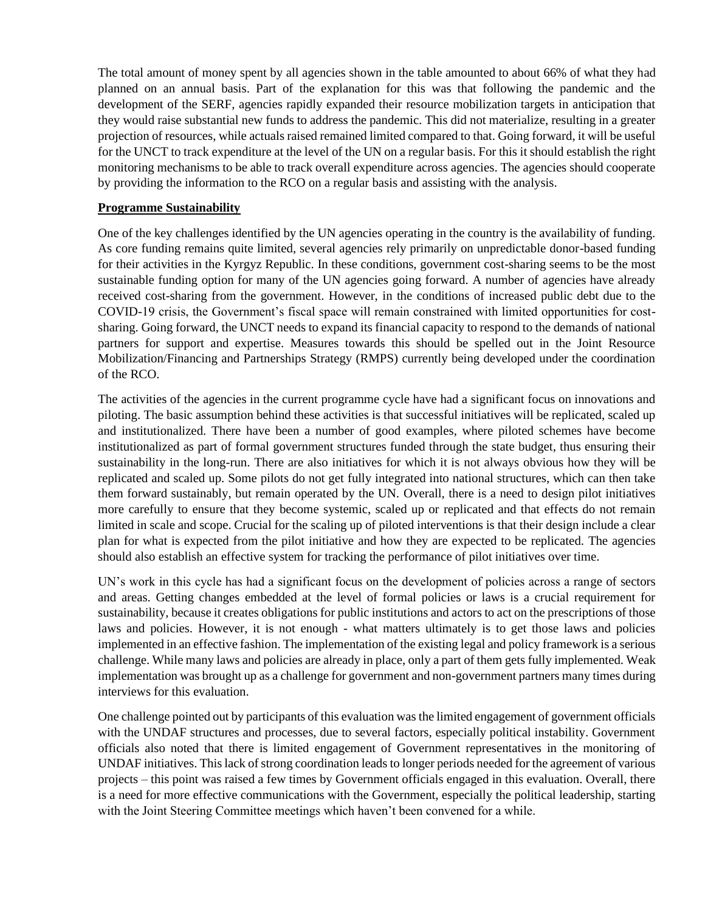The total amount of money spent by all agencies shown in the table amounted to about 66% of what they had planned on an annual basis. Part of the explanation for this was that following the pandemic and the development of the SERF, agencies rapidly expanded their resource mobilization targets in anticipation that they would raise substantial new funds to address the pandemic. This did not materialize, resulting in a greater projection of resources, while actuals raised remained limited compared to that. Going forward, it will be useful for the UNCT to track expenditure at the level of the UN on a regular basis. For this it should establish the right monitoring mechanisms to be able to track overall expenditure across agencies. The agencies should cooperate by providing the information to the RCO on a regular basis and assisting with the analysis.

#### **Programme Sustainability**

One of the key challenges identified by the UN agencies operating in the country is the availability of funding. As core funding remains quite limited, several agencies rely primarily on unpredictable donor-based funding for their activities in the Kyrgyz Republic. In these conditions, government cost-sharing seems to be the most sustainable funding option for many of the UN agencies going forward. A number of agencies have already received cost-sharing from the government. However, in the conditions of increased public debt due to the COVID-19 crisis, the Government's fiscal space will remain constrained with limited opportunities for costsharing. Going forward, the UNCT needs to expand its financial capacity to respond to the demands of national partners for support and expertise. Measures towards this should be spelled out in the Joint Resource Mobilization/Financing and Partnerships Strategy (RMPS) currently being developed under the coordination of the RCO.

The activities of the agencies in the current programme cycle have had a significant focus on innovations and piloting. The basic assumption behind these activities is that successful initiatives will be replicated, scaled up and institutionalized. There have been a number of good examples, where piloted schemes have become institutionalized as part of formal government structures funded through the state budget, thus ensuring their sustainability in the long-run. There are also initiatives for which it is not always obvious how they will be replicated and scaled up. Some pilots do not get fully integrated into national structures, which can then take them forward sustainably, but remain operated by the UN. Overall, there is a need to design pilot initiatives more carefully to ensure that they become systemic, scaled up or replicated and that effects do not remain limited in scale and scope. Crucial for the scaling up of piloted interventions is that their design include a clear plan for what is expected from the pilot initiative and how they are expected to be replicated. The agencies should also establish an effective system for tracking the performance of pilot initiatives over time.

UN's work in this cycle has had a significant focus on the development of policies across a range of sectors and areas. Getting changes embedded at the level of formal policies or laws is a crucial requirement for sustainability, because it creates obligations for public institutions and actors to act on the prescriptions of those laws and policies. However, it is not enough - what matters ultimately is to get those laws and policies implemented in an effective fashion. The implementation of the existing legal and policy framework is a serious challenge. While many laws and policies are already in place, only a part of them gets fully implemented. Weak implementation was brought up as a challenge for government and non-government partners many times during interviews for this evaluation.

One challenge pointed out by participants of this evaluation was the limited engagement of government officials with the UNDAF structures and processes, due to several factors, especially political instability. Government officials also noted that there is limited engagement of Government representatives in the monitoring of UNDAF initiatives. This lack of strong coordination leads to longer periods needed for the agreement of various projects – this point was raised a few times by Government officials engaged in this evaluation. Overall, there is a need for more effective communications with the Government, especially the political leadership, starting with the Joint Steering Committee meetings which haven't been convened for a while.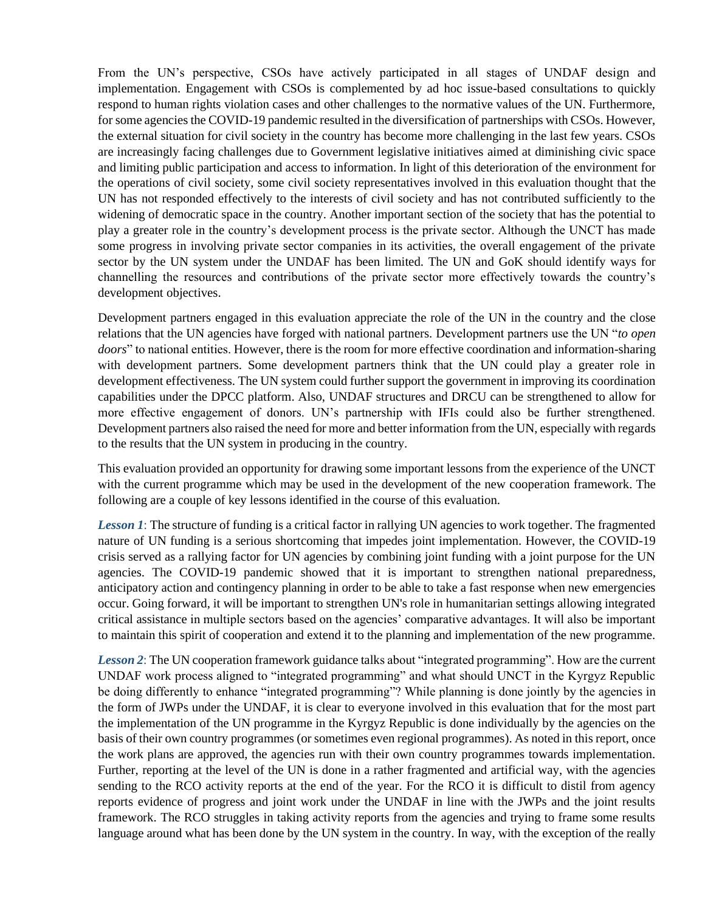From the UN's perspective, CSOs have actively participated in all stages of UNDAF design and implementation. Engagement with CSOs is complemented by ad hoc issue-based consultations to quickly respond to human rights violation cases and other challenges to the normative values of the UN. Furthermore, for some agencies the COVID-19 pandemic resulted in the diversification of partnerships with CSOs. However, the external situation for civil society in the country has become more challenging in the last few years. CSOs are increasingly facing challenges due to Government legislative initiatives aimed at diminishing civic space and limiting public participation and access to information. In light of this deterioration of the environment for the operations of civil society, some civil society representatives involved in this evaluation thought that the UN has not responded effectively to the interests of civil society and has not contributed sufficiently to the widening of democratic space in the country. Another important section of the society that has the potential to play a greater role in the country's development process is the private sector. Although the UNCT has made some progress in involving private sector companies in its activities, the overall engagement of the private sector by the UN system under the UNDAF has been limited. The UN and GoK should identify ways for channelling the resources and contributions of the private sector more effectively towards the country's development objectives.

Development partners engaged in this evaluation appreciate the role of the UN in the country and the close relations that the UN agencies have forged with national partners. Development partners use the UN "*to open doors*" to national entities. However, there is the room for more effective coordination and information-sharing with development partners. Some development partners think that the UN could play a greater role in development effectiveness. The UN system could further support the government in improving its coordination capabilities under the DPCC platform. Also, UNDAF structures and DRCU can be strengthened to allow for more effective engagement of donors. UN's partnership with IFIs could also be further strengthened. Development partners also raised the need for more and better information from the UN, especially with regards to the results that the UN system in producing in the country.

This evaluation provided an opportunity for drawing some important lessons from the experience of the UNCT with the current programme which may be used in the development of the new cooperation framework. The following are a couple of key lessons identified in the course of this evaluation.

*Lesson 1*: The structure of funding is a critical factor in rallying UN agencies to work together. The fragmented nature of UN funding is a serious shortcoming that impedes joint implementation. However, the COVID-19 crisis served as a rallying factor for UN agencies by combining joint funding with a joint purpose for the UN agencies. The COVID-19 pandemic showed that it is important to strengthen national preparedness, anticipatory action and contingency planning in order to be able to take a fast response when new emergencies occur. Going forward, it will be important to strengthen UN's role in humanitarian settings allowing integrated critical assistance in multiple sectors based on the agencies' comparative advantages. It will also be important to maintain this spirit of cooperation and extend it to the planning and implementation of the new programme.

*Lesson 2*: The UN cooperation framework guidance talks about "integrated programming". How are the current UNDAF work process aligned to "integrated programming" and what should UNCT in the Kyrgyz Republic be doing differently to enhance "integrated programming"? While planning is done jointly by the agencies in the form of JWPs under the UNDAF, it is clear to everyone involved in this evaluation that for the most part the implementation of the UN programme in the Kyrgyz Republic is done individually by the agencies on the basis of their own country programmes (or sometimes even regional programmes). As noted in this report, once the work plans are approved, the agencies run with their own country programmes towards implementation. Further, reporting at the level of the UN is done in a rather fragmented and artificial way, with the agencies sending to the RCO activity reports at the end of the year. For the RCO it is difficult to distil from agency reports evidence of progress and joint work under the UNDAF in line with the JWPs and the joint results framework. The RCO struggles in taking activity reports from the agencies and trying to frame some results language around what has been done by the UN system in the country. In way, with the exception of the really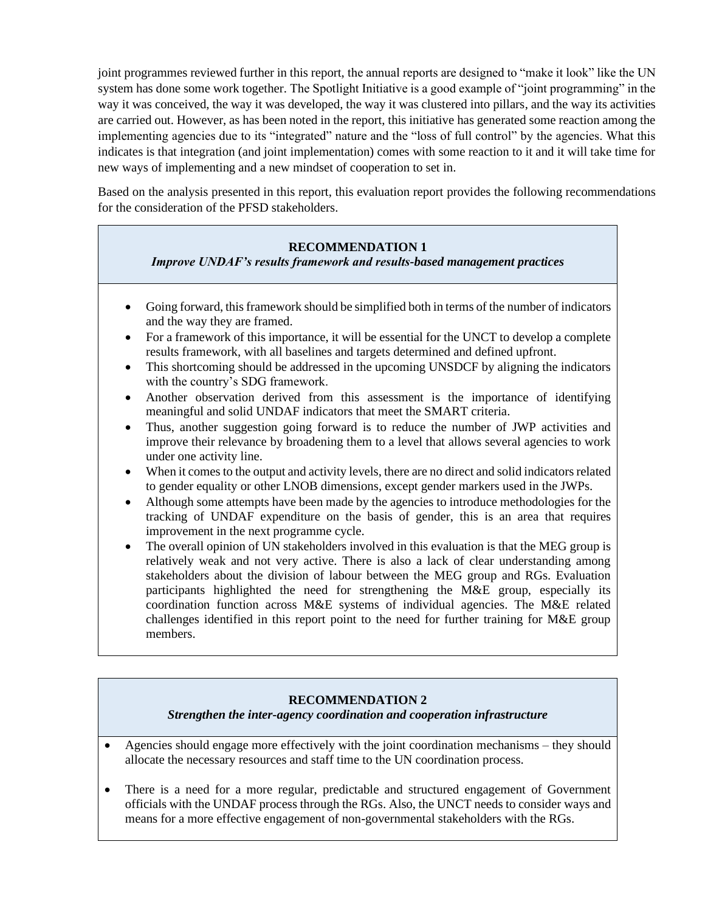joint programmes reviewed further in this report, the annual reports are designed to "make it look" like the UN system has done some work together. The Spotlight Initiative is a good example of "joint programming" in the way it was conceived, the way it was developed, the way it was clustered into pillars, and the way its activities are carried out. However, as has been noted in the report, this initiative has generated some reaction among the implementing agencies due to its "integrated" nature and the "loss of full control" by the agencies. What this indicates is that integration (and joint implementation) comes with some reaction to it and it will take time for new ways of implementing and a new mindset of cooperation to set in.

Based on the analysis presented in this report, this evaluation report provides the following recommendations for the consideration of the PFSD stakeholders.

## **RECOMMENDATION 1**

*Improve UNDAF's results framework and results-based management practices*

- Going forward, this framework should be simplified both in terms of the number of indicators and the way they are framed.
- For a framework of this importance, it will be essential for the UNCT to develop a complete results framework, with all baselines and targets determined and defined upfront.
- This shortcoming should be addressed in the upcoming UNSDCF by aligning the indicators with the country's SDG framework.
- Another observation derived from this assessment is the importance of identifying meaningful and solid UNDAF indicators that meet the SMART criteria.
- Thus, another suggestion going forward is to reduce the number of JWP activities and improve their relevance by broadening them to a level that allows several agencies to work under one activity line.
- When it comes to the output and activity levels, there are no direct and solid indicators related to gender equality or other LNOB dimensions, except gender markers used in the JWPs.
- Although some attempts have been made by the agencies to introduce methodologies for the tracking of UNDAF expenditure on the basis of gender, this is an area that requires improvement in the next programme cycle.
- The overall opinion of UN stakeholders involved in this evaluation is that the MEG group is relatively weak and not very active. There is also a lack of clear understanding among stakeholders about the division of labour between the MEG group and RGs. Evaluation participants highlighted the need for strengthening the M&E group, especially its coordination function across M&E systems of individual agencies. The M&E related challenges identified in this report point to the need for further training for M&E group members.

## **RECOMMENDATION 2**

*Strengthen the inter-agency coordination and cooperation infrastructure*

- Agencies should engage more effectively with the joint coordination mechanisms they should allocate the necessary resources and staff time to the UN coordination process.
- There is a need for a more regular, predictable and structured engagement of Government officials with the UNDAF process through the RGs. Also, the UNCT needs to consider ways and means for a more effective engagement of non-governmental stakeholders with the RGs.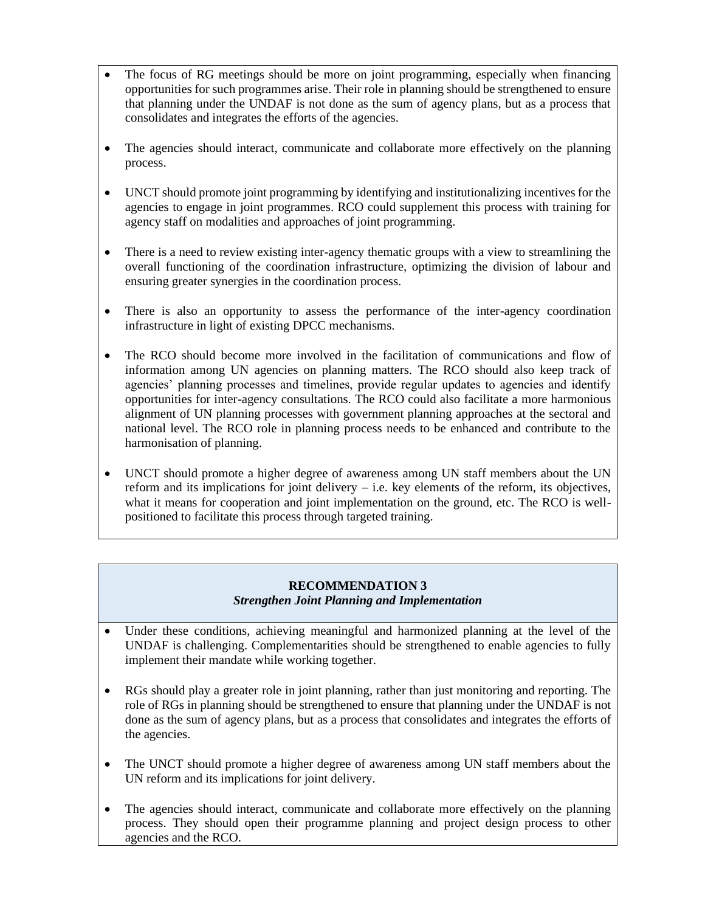- The focus of RG meetings should be more on joint programming, especially when financing opportunities for such programmes arise. Their role in planning should be strengthened to ensure that planning under the UNDAF is not done as the sum of agency plans, but as a process that consolidates and integrates the efforts of the agencies.
- The agencies should interact, communicate and collaborate more effectively on the planning process.
- UNCT should promote joint programming by identifying and institutionalizing incentives for the agencies to engage in joint programmes. RCO could supplement this process with training for agency staff on modalities and approaches of joint programming.
- There is a need to review existing inter-agency thematic groups with a view to streamlining the overall functioning of the coordination infrastructure, optimizing the division of labour and ensuring greater synergies in the coordination process.
- There is also an opportunity to assess the performance of the inter-agency coordination infrastructure in light of existing DPCC mechanisms.
- The RCO should become more involved in the facilitation of communications and flow of information among UN agencies on planning matters. The RCO should also keep track of agencies' planning processes and timelines, provide regular updates to agencies and identify opportunities for inter-agency consultations. The RCO could also facilitate a more harmonious alignment of UN planning processes with government planning approaches at the sectoral and national level. The RCO role in planning process needs to be enhanced and contribute to the harmonisation of planning.
- UNCT should promote a higher degree of awareness among UN staff members about the UN reform and its implications for joint delivery – i.e. key elements of the reform, its objectives, what it means for cooperation and joint implementation on the ground, etc. The RCO is wellpositioned to facilitate this process through targeted training.

#### **RECOMMENDATION 3** *Strengthen Joint Planning and Implementation*

- Under these conditions, achieving meaningful and harmonized planning at the level of the UNDAF is challenging. Complementarities should be strengthened to enable agencies to fully implement their mandate while working together.
- RGs should play a greater role in joint planning, rather than just monitoring and reporting. The role of RGs in planning should be strengthened to ensure that planning under the UNDAF is not done as the sum of agency plans, but as a process that consolidates and integrates the efforts of the agencies.
- The UNCT should promote a higher degree of awareness among UN staff members about the UN reform and its implications for joint delivery.
- The agencies should interact, communicate and collaborate more effectively on the planning process. They should open their programme planning and project design process to other agencies and the RCO.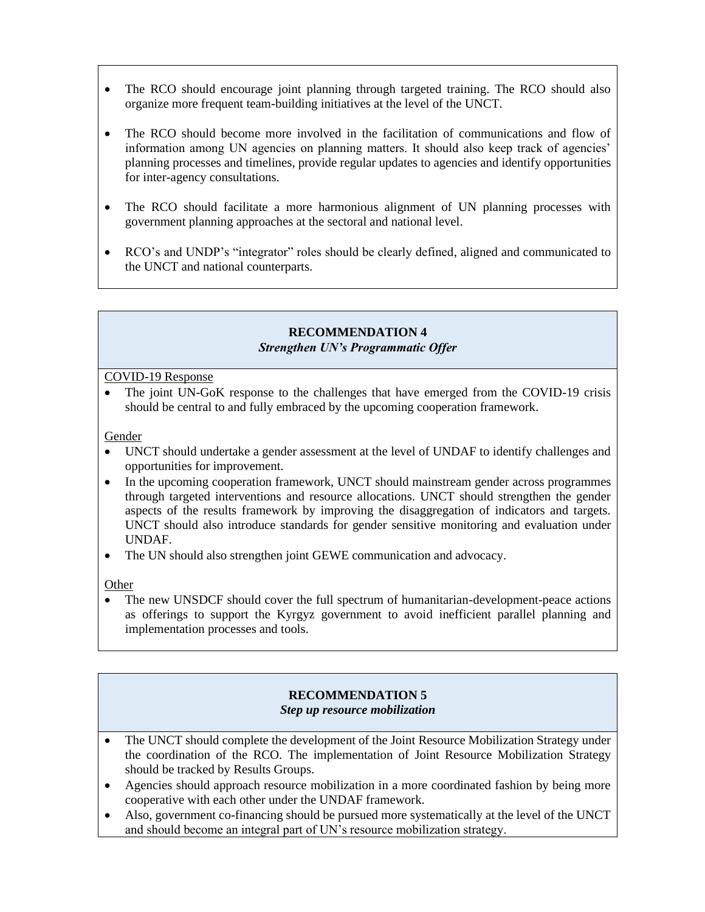- The RCO should encourage joint planning through targeted training. The RCO should also organize more frequent team-building initiatives at the level of the UNCT.
- The RCO should become more involved in the facilitation of communications and flow of information among UN agencies on planning matters. It should also keep track of agencies' planning processes and timelines, provide regular updates to agencies and identify opportunities for inter-agency consultations.
- The RCO should facilitate a more harmonious alignment of UN planning processes with government planning approaches at the sectoral and national level.
- RCO's and UNDP's "integrator" roles should be clearly defined, aligned and communicated to the UNCT and national counterparts.

## **RECOMMENDATION 4** *Strengthen UN's Programmatic Offer*

COVID-19 Response

• The joint UN-GoK response to the challenges that have emerged from the COVID-19 crisis should be central to and fully embraced by the upcoming cooperation framework.

Gender

- UNCT should undertake a gender assessment at the level of UNDAF to identify challenges and opportunities for improvement.
- In the upcoming cooperation framework, UNCT should mainstream gender across programmes through targeted interventions and resource allocations. UNCT should strengthen the gender aspects of the results framework by improving the disaggregation of indicators and targets. UNCT should also introduce standards for gender sensitive monitoring and evaluation under UNDAF.
- The UN should also strengthen joint GEWE communication and advocacy.

Other

• The new UNSDCF should cover the full spectrum of humanitarian-development-peace actions as offerings to support the Kyrgyz government to avoid inefficient parallel planning and implementation processes and tools.

### **RECOMMENDATION 5** *Step up resource mobilization*

- The UNCT should complete the development of the Joint Resource Mobilization Strategy under the coordination of the RCO. The implementation of Joint Resource Mobilization Strategy should be tracked by Results Groups.
- Agencies should approach resource mobilization in a more coordinated fashion by being more cooperative with each other under the UNDAF framework.
- Also, government co-financing should be pursued more systematically at the level of the UNCT and should become an integral part of UN's resource mobilization strategy.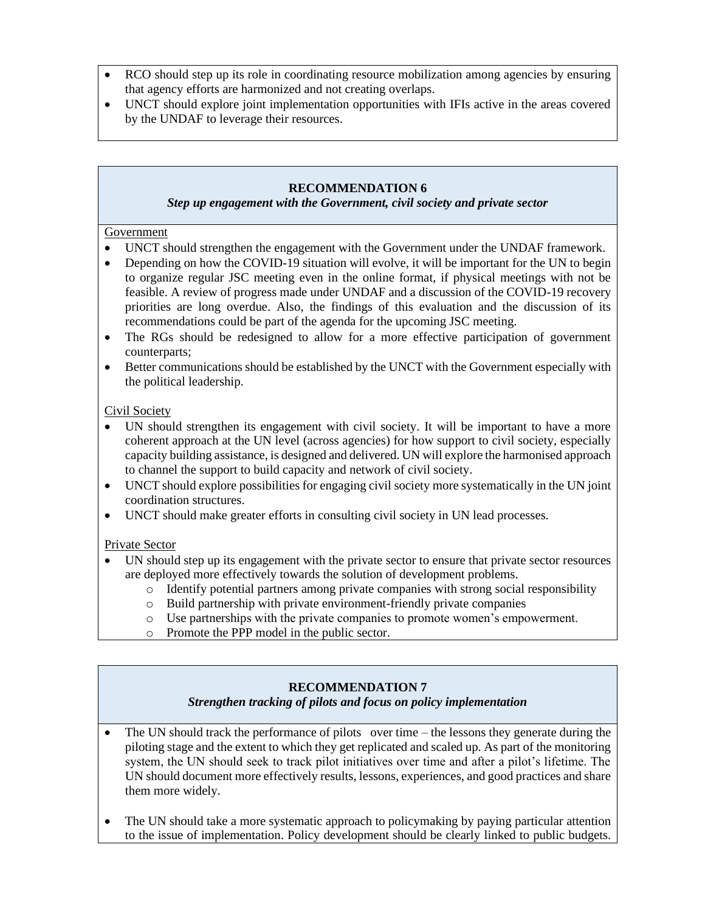- RCO should step up its role in coordinating resource mobilization among agencies by ensuring that agency efforts are harmonized and not creating overlaps.
- UNCT should explore joint implementation opportunities with IFIs active in the areas covered by the UNDAF to leverage their resources.

### **RECOMMENDATION 6**

### *Step up engagement with the Government, civil society and private sector*

### Government

- UNCT should strengthen the engagement with the Government under the UNDAF framework.
- Depending on how the COVID-19 situation will evolve, it will be important for the UN to begin to organize regular JSC meeting even in the online format, if physical meetings with not be feasible. A review of progress made under UNDAF and a discussion of the COVID-19 recovery priorities are long overdue. Also, the findings of this evaluation and the discussion of its recommendations could be part of the agenda for the upcoming JSC meeting.
- The RGs should be redesigned to allow for a more effective participation of government counterparts;
- Better communications should be established by the UNCT with the Government especially with the political leadership.

## Civil Society

- UN should strengthen its engagement with civil society. It will be important to have a more coherent approach at the UN level (across agencies) for how support to civil society, especially capacity building assistance, is designed and delivered. UN will explore the harmonised approach to channel the support to build capacity and network of civil society.
- UNCT should explore possibilities for engaging civil society more systematically in the UN joint coordination structures.
- UNCT should make greater efforts in consulting civil society in UN lead processes.

## Private Sector

- UN should step up its engagement with the private sector to ensure that private sector resources are deployed more effectively towards the solution of development problems.
	- o Identify potential partners among private companies with strong social responsibility
	- o Build partnership with private environment-friendly private companies
	- o Use partnerships with the private companies to promote women's empowerment.
	- o Promote the PPP model in the public sector.

# **RECOMMENDATION 7**

## *Strengthen tracking of pilots and focus on policy implementation*

- The UN should track the performance of pilots over time the lessons they generate during the piloting stage and the extent to which they get replicated and scaled up. As part of the monitoring system, the UN should seek to track pilot initiatives over time and after a pilot's lifetime. The UN should document more effectively results, lessons, experiences, and good practices and share them more widely.
- The UN should take a more systematic approach to policymaking by paying particular attention to the issue of implementation. Policy development should be clearly linked to public budgets.